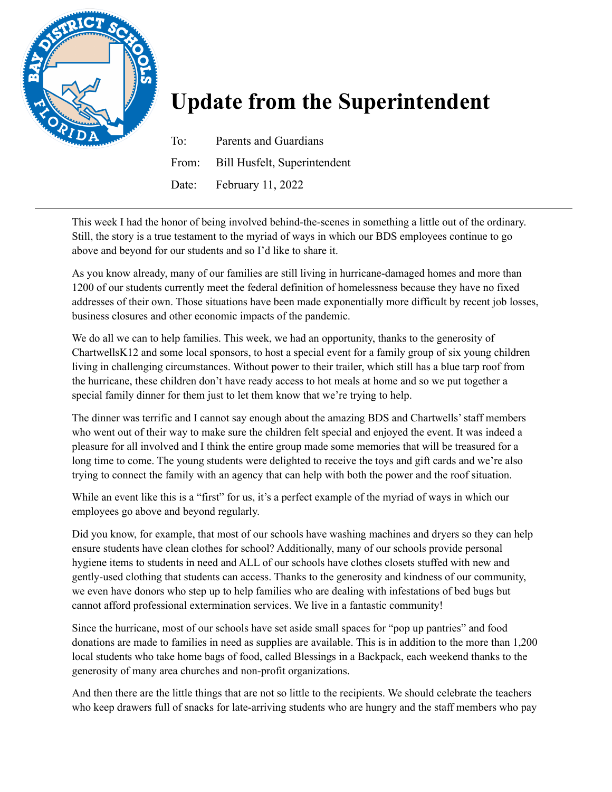

## **Update from the Superintendent**

To: Parents and Guardians From: Bill Husfelt, Superintendent Date: February 11, 2022

This week I had the honor of being involved behind-the-scenes in something a little out of the ordinary. Still, the story is a true testament to the myriad of ways in which our BDS employees continue to go above and beyond for our students and so I'd like to share it.

As you know already, many of our families are still living in hurricane-damaged homes and more than 1200 of our students currently meet the federal definition of homelessness because they have no fixed addresses of their own. Those situations have been made exponentially more difficult by recent job losses, business closures and other economic impacts of the pandemic.

We do all we can to help families. This week, we had an opportunity, thanks to the generosity of ChartwellsK12 and some local sponsors, to host a special event for a family group of six young children living in challenging circumstances. Without power to their trailer, which still has a blue tarp roof from the hurricane, these children don't have ready access to hot meals at home and so we put together a special family dinner for them just to let them know that we're trying to help.

The dinner was terrific and I cannot say enough about the amazing BDS and Chartwells'staff members who went out of their way to make sure the children felt special and enjoyed the event. It was indeed a pleasure for all involved and I think the entire group made some memories that will be treasured for a long time to come. The young students were delighted to receive the toys and gift cards and we're also trying to connect the family with an agency that can help with both the power and the roof situation.

While an event like this is a "first" for us, it's a perfect example of the myriad of ways in which our employees go above and beyond regularly.

Did you know, for example, that most of our schools have washing machines and dryers so they can help ensure students have clean clothes for school? Additionally, many of our schools provide personal hygiene items to students in need and ALL of our schools have clothes closets stuffed with new and gently-used clothing that students can access. Thanks to the generosity and kindness of our community, we even have donors who step up to help families who are dealing with infestations of bed bugs but cannot afford professional extermination services. We live in a fantastic community!

Since the hurricane, most of our schools have set aside small spaces for "pop up pantries" and food donations are made to families in need as supplies are available. This is in addition to the more than 1,200 local students who take home bags of food, called Blessings in a Backpack, each weekend thanks to the generosity of many area churches and non-profit organizations.

And then there are the little things that are not so little to the recipients. We should celebrate the teachers who keep drawers full of snacks for late-arriving students who are hungry and the staff members who pay